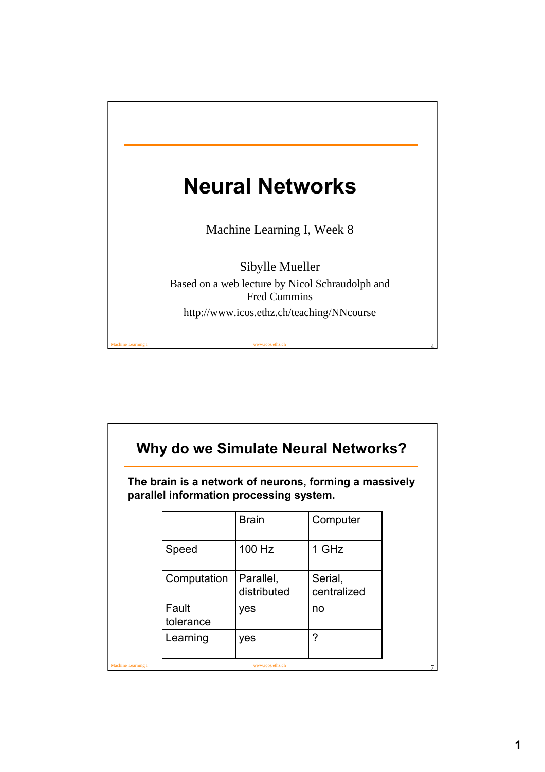

| Why do we Simulate Neural Networks? |                                         |                          |                                                        |  |
|-------------------------------------|-----------------------------------------|--------------------------|--------------------------------------------------------|--|
|                                     | parallel information processing system. |                          | The brain is a network of neurons, forming a massively |  |
|                                     |                                         | <b>Brain</b>             | Computer                                               |  |
|                                     | Speed                                   | 100 Hz                   | 1 GHz                                                  |  |
|                                     | Computation                             | Parallel,<br>distributed | Serial,<br>centralized                                 |  |
|                                     | Fault<br>tolerance                      | yes                      | no                                                     |  |
|                                     | Learning                                | yes                      | ?                                                      |  |
| Machine Learning I                  |                                         | www.icos.ethz.ch         |                                                        |  |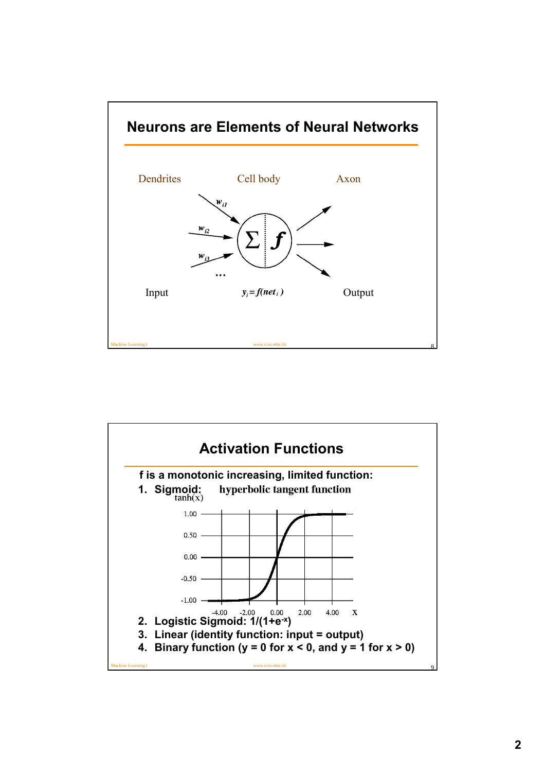

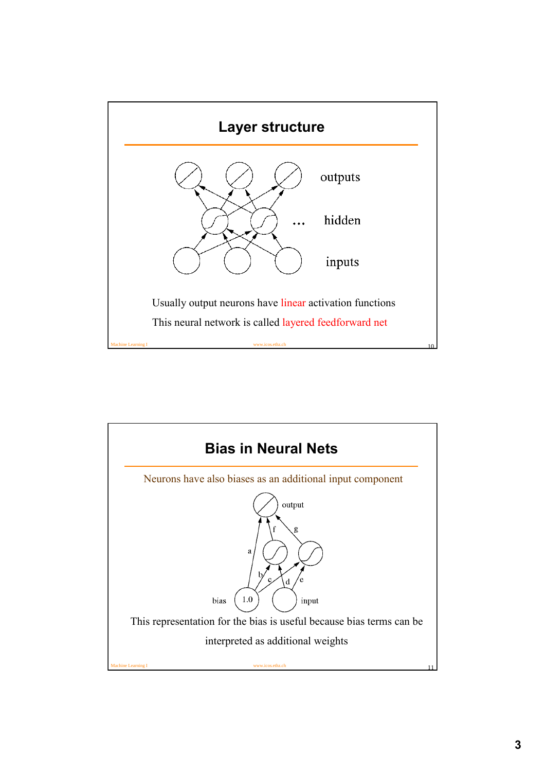

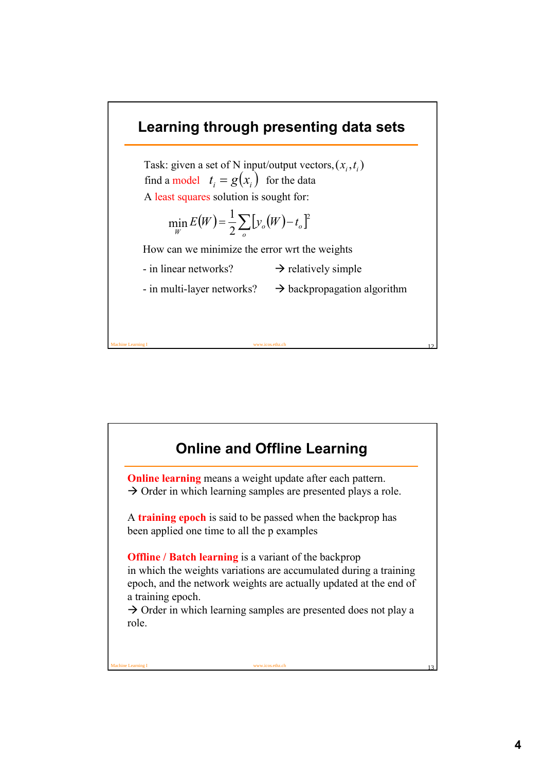

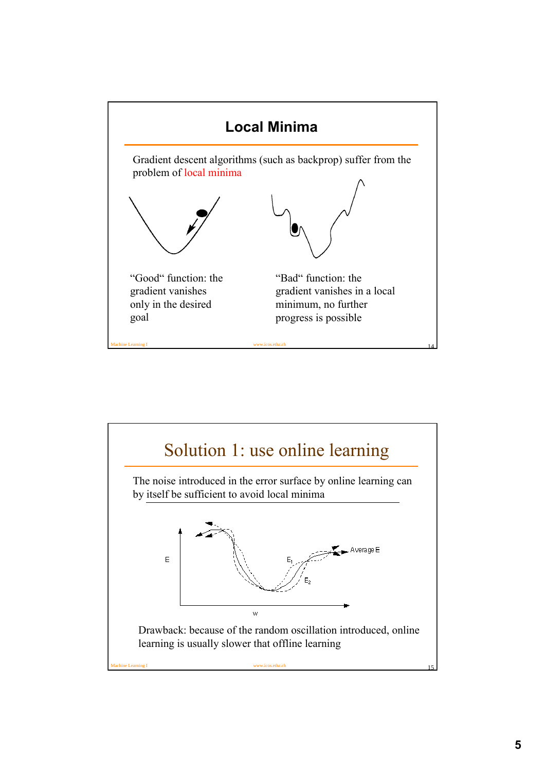